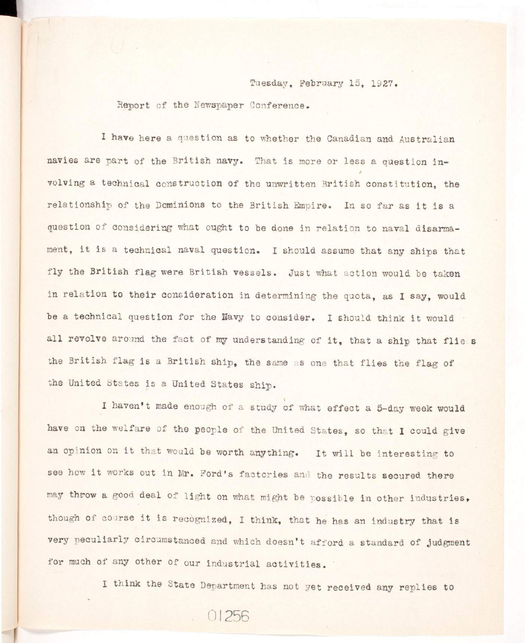Tuesday, February 15, 1927.

Report of the Newspaper Conference.

I have here a question as to whether the Canadian and Australian navies are part of the British navy. That is more or less a question involving a technical construction of the unwritten British constitution, the relationship of the Dominions to the British Empire. In so far as it is a question of considering what ought to be done in relation to naval disarmament, it is a technical naval question. I should assume that any ships that fly the British flag were British vessels. Just what action would be taken in relation to their consideration in determining the quota, as I say, would be a technical question for the Navy to consider. I should think it would all revolve around the fact of my understanding of it, that a ship that flie s the British flag is a British ship, the same as one that flies the flag of the United States is a United States ship.

I haven't made enough of a study of what effect a 5-day week would have on the welfare of the people of the United States, so that I could give an opinion on it that would be worth anything. It will be interesting to see how it works out in Mr. Ford's factories and the results secured there may throw a good deal of light on what might be possible in other industries, though of course it is recognized, I think, that he has an industry that is very peculiarly circumstanced and which doesn't afford a standard of judgment for much of any other of our industrial activities.

I think the State Department has not yet received any replies to

01256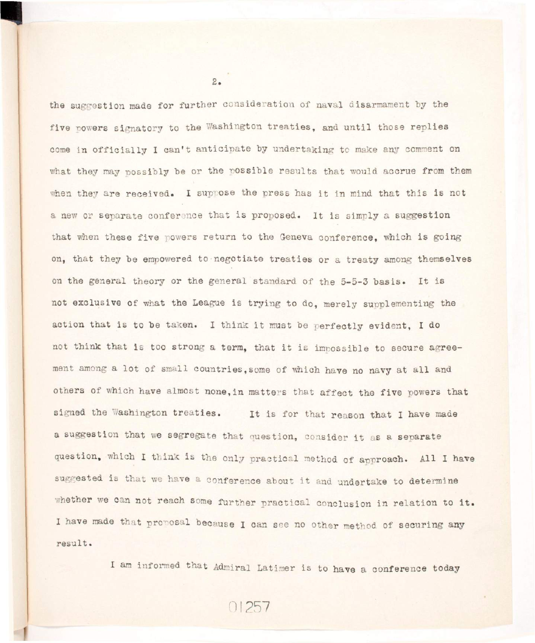the suggestion made for further consideration of naval disarmament by the five powers signatory to the Washington treaties, and until those replies come in officially I can't anticipate by undertaking to make any comment on what they may possibly be or the possible results that would accrue from them when they are received. I suppose the press has it in mind that this is not a new or separate conference that is proposed. It is simply a suggestion that when these five powers return to the Geneva conference. which is going on, that they be empowered to negotiate treaties or a treaty among themselves on the general theory or the general standard of the 5-5-3 basis. It is not exclusive of what the League is trying to do, merely supplementing the action that is to be taken. I think it must be perfectly evident, I do not think that is too strong a term, that it is impossible to secure agreement among a lot of small countries, some of which have no navy at all and others of which have almost none, in matters that affect the five powers that signed the Washington treaties. It is for that reason that I have made **a suggestion that we segregate that question, consider i t as a separate**  question, which I think is the only practical method of approach. All I have suggested is that we have a conference about it and undertake to determine whether we can not reach some further practical conclusion in relation to it. I have made that proposal because I can see no other method of securing any **result .** 

I am informed that Admiral Latimer is to have a conference today

 $2.$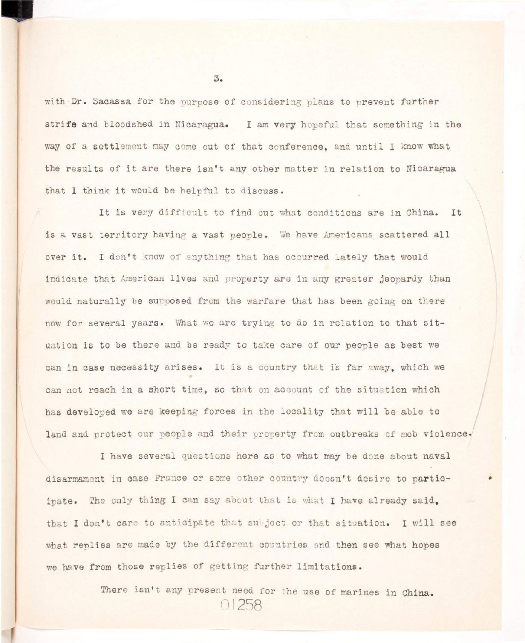with Dr. Sacassa for the purpose of considering plans to prevent further strife and bloodshed in Nicaragua. I am very hopeful that something in the way of a settlement may come out of that conference, and until I know what the results of it are there isn't any other matter in relation to Nicaragua that I think it would be helpful to discuss.

It is very difficult to find out what conditions are in China. It is a vast territory having a vast people. We have Americans scattered all over it. I don't know of anything that has occurred lately that would indicate that American lives and property are in any greater jeopardy than would naturally be supposed from the warfare that has been going on there now for several years. What we are trying to do in relation to that situation is to be there and be ready to take care of our people as best we can in case necessity arises. It is a country that is far away, which we can not reach in a short time, so that on account of the situation which has developed we are keeping forces in the locality that will be able to land and protect our people and their property from outbreaks of mob violence.

**I have several questions here as to what may be done about naval**  disarmament in case France or some other country doesn't desire to participate. The only thing I can say about that is what I have already said. that I don't care to anticipate that subject or that situation. I will see what replies are made by the different countries and then see what hopes we have from those replies of getting further limitations.

> There isn't any present need for the use of marines in China. **01258**

 $3.5$